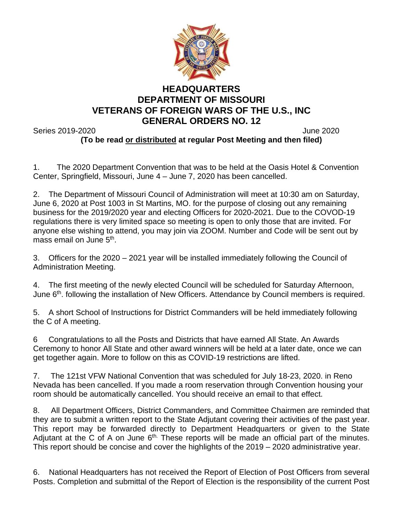

## **HEADQUARTERS DEPARTMENT OF MISSOURI VETERANS OF FOREIGN WARS OF THE U.S., INC GENERAL ORDERS NO. 12**

Series 2019-2020 June 2020

**(To be read or distributed at regular Post Meeting and then filed)**

1. The 2020 Department Convention that was to be held at the Oasis Hotel & Convention Center, Springfield, Missouri, June 4 – June 7, 2020 has been cancelled.

2. The Department of Missouri Council of Administration will meet at 10:30 am on Saturday, June 6, 2020 at Post 1003 in St Martins, MO. for the purpose of closing out any remaining business for the 2019/2020 year and electing Officers for 2020-2021. Due to the COVOD-19 regulations there is very limited space so meeting is open to only those that are invited. For anyone else wishing to attend, you may join via ZOOM. Number and Code will be sent out by mass email on June 5<sup>th</sup>.

3. Officers for the 2020 – 2021 year will be installed immediately following the Council of Administration Meeting.

4. The first meeting of the newly elected Council will be scheduled for Saturday Afternoon, June 6<sup>th</sup>. following the installation of New Officers. Attendance by Council members is required.

5. A short School of Instructions for District Commanders will be held immediately following the C of A meeting.

6 Congratulations to all the Posts and Districts that have earned All State. An Awards Ceremony to honor All State and other award winners will be held at a later date, once we can get together again. More to follow on this as COVID-19 restrictions are lifted.

7. The 121st VFW National Convention that was scheduled for July 18-23, 2020. in Reno Nevada has been cancelled. If you made a room reservation through Convention housing your room should be automatically cancelled. You should receive an email to that effect.

8. All Department Officers, District Commanders, and Committee Chairmen are reminded that they are to submit a written report to the State Adjutant covering their activities of the past year. This report may be forwarded directly to Department Headquarters or given to the State Adjutant at the C of A on June 6<sup>th.</sup> These reports will be made an official part of the minutes. This report should be concise and cover the highlights of the 2019 – 2020 administrative year.

6. National Headquarters has not received the Report of Election of Post Officers from several Posts. Completion and submittal of the Report of Election is the responsibility of the current Post